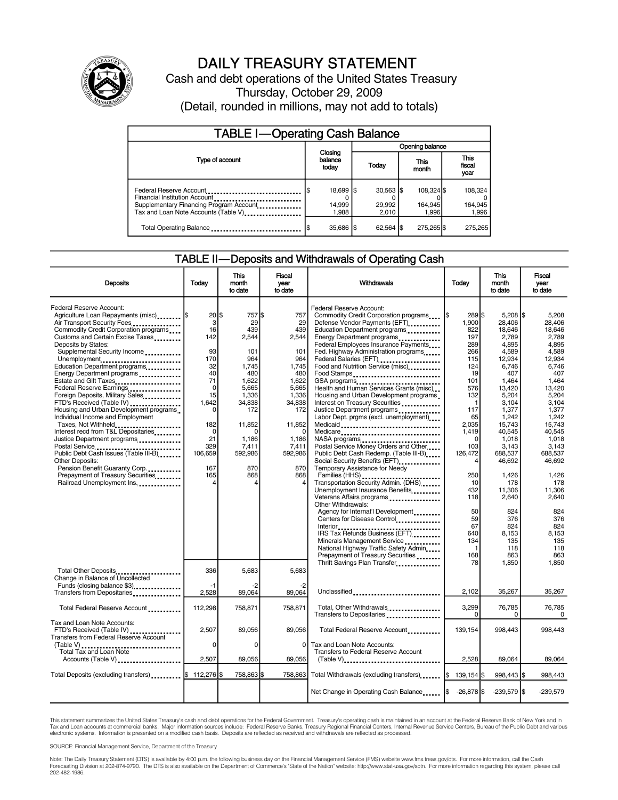

## DAILY TREASURY STATEMENT

Cash and debt operations of the United States Treasury Thursday, October 29, 2009 (Detail, rounded in millions, may not add to totals)

| <b>TABLE I-Operating Cash Balance</b>                                                                                                       |  |                              |                 |                                          |  |                                |  |                               |
|---------------------------------------------------------------------------------------------------------------------------------------------|--|------------------------------|-----------------|------------------------------------------|--|--------------------------------|--|-------------------------------|
|                                                                                                                                             |  |                              | Opening balance |                                          |  |                                |  |                               |
| Type of account                                                                                                                             |  | Closing<br>balance<br>today  |                 | Today                                    |  | This<br>month                  |  | <b>This</b><br>fiscal<br>year |
| Federal Reserve Account<br>Financial Institution Account<br>Supplementary Financing Program Account<br>Tax and Loan Note Accounts (Table V) |  | 18,699 \$<br>14,999<br>1.988 |                 | $30.563$ $\textsf{S}$<br>29.992<br>2.010 |  | 108.324 \$<br>164.945<br>1.996 |  | 108,324<br>164,945<br>1,996   |
| Total Operating Balance                                                                                                                     |  | 35,686   \$                  |                 | $62,564$ $\frac{1}{3}$                   |  | 275,265 \$                     |  | 275.265                       |

#### TABLE II—Deposits and Withdrawals of Operating Cash

| <b>Deposits</b>                                                                                                                                                                                                                                                                                                                                                                                                                                                                                                                                                                                                                                                                                                                                                                                          | Todav                                                                                                                                             | <b>This</b><br>month<br>to date                                                                                                                                  | Fiscal<br>vear<br>to date                                                                                                                                            | Withdrawals                                                                                                                                                                                                                                                                                                                                                                                                                                                                                                                                                                                                                                                                                                                                                                                                                                                                                                                                                                                                                         | Today                                                                                                                                                                                                                             | <b>This</b><br>month<br>to date                                                                                                                                                                                                                                                | Fiscal<br>year<br>to date                                                                                                                                                                                                                                                |
|----------------------------------------------------------------------------------------------------------------------------------------------------------------------------------------------------------------------------------------------------------------------------------------------------------------------------------------------------------------------------------------------------------------------------------------------------------------------------------------------------------------------------------------------------------------------------------------------------------------------------------------------------------------------------------------------------------------------------------------------------------------------------------------------------------|---------------------------------------------------------------------------------------------------------------------------------------------------|------------------------------------------------------------------------------------------------------------------------------------------------------------------|----------------------------------------------------------------------------------------------------------------------------------------------------------------------|-------------------------------------------------------------------------------------------------------------------------------------------------------------------------------------------------------------------------------------------------------------------------------------------------------------------------------------------------------------------------------------------------------------------------------------------------------------------------------------------------------------------------------------------------------------------------------------------------------------------------------------------------------------------------------------------------------------------------------------------------------------------------------------------------------------------------------------------------------------------------------------------------------------------------------------------------------------------------------------------------------------------------------------|-----------------------------------------------------------------------------------------------------------------------------------------------------------------------------------------------------------------------------------|--------------------------------------------------------------------------------------------------------------------------------------------------------------------------------------------------------------------------------------------------------------------------------|--------------------------------------------------------------------------------------------------------------------------------------------------------------------------------------------------------------------------------------------------------------------------|
| Federal Reserve Account:<br>Agriculture Loan Repayments (misc)  \$<br>Air Transport Security Fees<br>Commodity Credit Corporation programs<br>Customs and Certain Excise Taxes<br>Deposits by States:<br>Supplemental Security Income<br>Unemployment<br>Education Department programs<br>Energy Department programs<br>Estate and Gift Taxes<br>Federal Reserve Earnings<br>Foreign Deposits, Military Sales<br>FTD's Received (Table IV)<br>Housing and Urban Development programs.<br>Individual Income and Employment<br>Taxes, Not Withheld<br>Interest recd from T&L Depositaries<br>Justice Department programs<br>Postal Service<br>Public Debt Cash Issues (Table III-B)<br>Other Deposits:<br>Pension Benefit Guaranty Corp<br>Prepayment of Treasury Securities<br>Railroad Unemployment Ins. | 20 S<br>3<br>16<br>142<br>93<br>170<br>32<br>40<br>71<br>$\mathbf 0$<br>15<br>1.642<br>O<br>182<br>$\Omega$<br>21<br>329<br>106,659<br>167<br>165 | 757 \$<br>29<br>439<br>2,544<br>101<br>964<br>1,745<br>480<br>1,622<br>5.665<br>1.336<br>34.838<br>172<br>11,852<br>n<br>1.186<br>7.411<br>592,986<br>870<br>868 | 757<br>29<br>439<br>2,544<br>101<br>964<br>1,745<br>480<br>1,622<br>5.665<br>1,336<br>34.838<br>172<br>11,852<br>$\Omega$<br>1.186<br>7.411<br>592,986<br>870<br>868 | Federal Reserve Account:<br>Commodity Credit Corporation programs<br>Defense Vendor Payments (EFT)<br><br>Education Department programs<br>Energy Department programs<br>Federal Employees Insurance Payments<br>Fed. Highway Administration programs<br>Federal Salaries (EFT)<br>Food and Nutrition Service (misc)<br>Food Stamps<br>GSA programs<br>Health and Human Services Grants (misc)<br>Housing and Urban Development programs<br>Interest on Treasury Securities<br>Justice Department programs<br>Labor Dept. prgms (excl. unemployment)<br>Medicaid<br>Medicare<br>NASA programs<br>Postal Service Money Orders and Other<br>Public Debt Cash Redemp. (Table III-B)<br>Social Security Benefits (EFT)<br>Temporary Assistance for Needy<br>Transportation Security Admin. (DHS)<br>Unemployment Insurance Benefits<br>Veterans Affairs programs<br>Other Withdrawals:<br>Agency for Internat'l Development<br>Centers for Disease Control<br>Interior<br>IRS Tax Refunds Business (EFT)<br>Minerals Management Service | 289 \$<br>1,900<br>822<br>197<br>289<br>266<br>115<br>124<br>19<br>101<br>576<br>132<br>$\mathbf{1}$<br>117<br>65<br>2.035<br>1.419<br>$\Omega$<br>103<br>126,472<br>4<br>250<br>10<br>432<br>118<br>50<br>59<br>67<br>640<br>134 | $5.208$ \\$<br>28,406<br>18,646<br>2,789<br>4.895<br>4.589<br>12.934<br>6,746<br>407<br>1.464<br>13.420<br>5.204<br>3.104<br>1,377<br>1.242<br>15.743<br>40.545<br>1,018<br>3.143<br>688,537<br>46,692<br>1.426<br>178<br>11.306<br>2,640<br>824<br>376<br>824<br>8.153<br>135 | 5.208<br>28,406<br>18,646<br>2.789<br>4.895<br>4.589<br>12.934<br>6,746<br>407<br>1.464<br>13.420<br>5.204<br>3.104<br>1,377<br>1.242<br>15.743<br>40.545<br>1.018<br>3.143<br>688.537<br>46.692<br>1.426<br>178<br>11.306<br>2,640<br>824<br>376<br>824<br>8.153<br>135 |
| Total Other Deposits                                                                                                                                                                                                                                                                                                                                                                                                                                                                                                                                                                                                                                                                                                                                                                                     | 336                                                                                                                                               | 5,683                                                                                                                                                            | 5,683                                                                                                                                                                | National Highway Traffic Safety Admin<br>Prepayment of Treasury Securities<br>Thrift Savings Plan Transfer                                                                                                                                                                                                                                                                                                                                                                                                                                                                                                                                                                                                                                                                                                                                                                                                                                                                                                                          | $\mathbf{1}$<br>168<br>78                                                                                                                                                                                                         | 118<br>863<br>1,850                                                                                                                                                                                                                                                            | 118<br>863<br>1.850                                                                                                                                                                                                                                                      |
| Change in Balance of Uncollected<br>Funds (closing balance \$3)<br>Transfers from Depositaries                                                                                                                                                                                                                                                                                                                                                                                                                                                                                                                                                                                                                                                                                                           | -1<br>2,528                                                                                                                                       | -2<br>89,064                                                                                                                                                     | -2<br>89,064                                                                                                                                                         | Unclassified                                                                                                                                                                                                                                                                                                                                                                                                                                                                                                                                                                                                                                                                                                                                                                                                                                                                                                                                                                                                                        | 2,102                                                                                                                                                                                                                             | 35,267                                                                                                                                                                                                                                                                         | 35,267                                                                                                                                                                                                                                                                   |
| Total Federal Reserve Account                                                                                                                                                                                                                                                                                                                                                                                                                                                                                                                                                                                                                                                                                                                                                                            | 112,298                                                                                                                                           | 758,871                                                                                                                                                          | 758,871                                                                                                                                                              | Total, Other Withdrawals<br>Transfers to Depositaries                                                                                                                                                                                                                                                                                                                                                                                                                                                                                                                                                                                                                                                                                                                                                                                                                                                                                                                                                                               | 3,299<br>$\Omega$                                                                                                                                                                                                                 | 76,785<br>$\Omega$                                                                                                                                                                                                                                                             | 76,785<br>0                                                                                                                                                                                                                                                              |
| Tax and Loan Note Accounts:<br>FTD's Received (Table IV)<br>Transfers from Federal Reserve Account                                                                                                                                                                                                                                                                                                                                                                                                                                                                                                                                                                                                                                                                                                       | 2,507<br>$\Omega$                                                                                                                                 | 89,056<br>$\Omega$                                                                                                                                               | 89.056<br>0                                                                                                                                                          | Total Federal Reserve Account<br>Tax and Loan Note Accounts:                                                                                                                                                                                                                                                                                                                                                                                                                                                                                                                                                                                                                                                                                                                                                                                                                                                                                                                                                                        | 139,154                                                                                                                                                                                                                           | 998.443                                                                                                                                                                                                                                                                        | 998.443                                                                                                                                                                                                                                                                  |
| (Table V)<br>Total Tax and Loan Note<br>Accounts (Table V)                                                                                                                                                                                                                                                                                                                                                                                                                                                                                                                                                                                                                                                                                                                                               | 2,507                                                                                                                                             | 89,056                                                                                                                                                           | 89,056                                                                                                                                                               | Transfers to Federal Reserve Account<br>(Table V)                                                                                                                                                                                                                                                                                                                                                                                                                                                                                                                                                                                                                                                                                                                                                                                                                                                                                                                                                                                   | 2,528                                                                                                                                                                                                                             | 89,064                                                                                                                                                                                                                                                                         | 89,064                                                                                                                                                                                                                                                                   |
| Total Deposits (excluding transfers)   \$ 112,276  \$                                                                                                                                                                                                                                                                                                                                                                                                                                                                                                                                                                                                                                                                                                                                                    |                                                                                                                                                   | 758,863                                                                                                                                                          | 758.863                                                                                                                                                              | Total Withdrawals (excluding transfers) [5]                                                                                                                                                                                                                                                                                                                                                                                                                                                                                                                                                                                                                                                                                                                                                                                                                                                                                                                                                                                         | 139,154 \$                                                                                                                                                                                                                        | 998,443 \$                                                                                                                                                                                                                                                                     | 998,443                                                                                                                                                                                                                                                                  |
|                                                                                                                                                                                                                                                                                                                                                                                                                                                                                                                                                                                                                                                                                                                                                                                                          |                                                                                                                                                   |                                                                                                                                                                  |                                                                                                                                                                      | Net Change in Operating Cash Balance                                                                                                                                                                                                                                                                                                                                                                                                                                                                                                                                                                                                                                                                                                                                                                                                                                                                                                                                                                                                | $-26,878$ \$                                                                                                                                                                                                                      | $-239,579$ \$                                                                                                                                                                                                                                                                  | $-239.579$                                                                                                                                                                                                                                                               |

This statement summarizes the United States Treasury's cash and debt operations for the Federal Government. Treasury's operating cash is maintained in an account at the Federal Reserve Bank of New York and in Tax and Loan accounts at commercial banks. Major information sources include: Federal Reserve Banks, Treasury Regional Financial Centers, Internal Revenue Service Centers, Bureau of the Public Debt and various<br>electronic s

SOURCE: Financial Management Service, Department of the Treasury

Note: The Daily Treasury Statement (DTS) is available by 4:00 p.m. the following business day on the Financial Management Service (FMS) website www.fms.treas.gov/dts. For more information, call the Cash<br>Forecasting Divisio 202-482-1986.